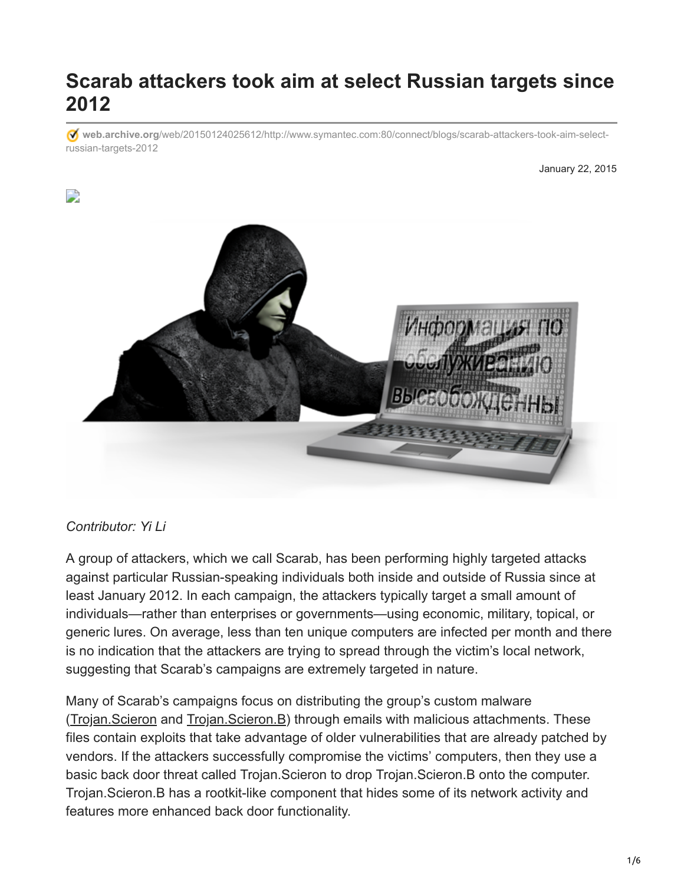# **Scarab attackers took aim at select Russian targets since 2012**

**web.archive.org**[/web/20150124025612/http://www.symantec.com:80/connect/blogs/scarab-attackers-took-aim-select](https://web.archive.org/web/20150124025612/http://www.symantec.com:80/connect/blogs/scarab-attackers-took-aim-select-russian-targets-2012)russian-targets-2012

#### January 22, 2015



#### *Contributor: Yi Li*

A group of attackers, which we call Scarab, has been performing highly targeted attacks against particular Russian-speaking individuals both inside and outside of Russia since at least January 2012. In each campaign, the attackers typically target a small amount of individuals—rather than enterprises or governments—using economic, military, topical, or generic lures. On average, less than ten unique computers are infected per month and there is no indication that the attackers are trying to spread through the victim's local network, suggesting that Scarab's campaigns are extremely targeted in nature.

Many of Scarab's campaigns focus on distributing the group's custom malware ([Trojan.Scieron](https://web.archive.org/web/20150124025612/http://www.symantec.com/security_response/writeup.jsp?docid=2014-072320-5920-99) and [Trojan.Scieron.B](https://web.archive.org/web/20150124025612/http://www.symantec.com/security_response/writeup.jsp?docid=2014-081114-0917-99)) through emails with malicious attachments. These files contain exploits that take advantage of older vulnerabilities that are already patched by vendors. If the attackers successfully compromise the victims' computers, then they use a basic back door threat called Trojan.Scieron to drop Trojan.Scieron.B onto the computer. Trojan.Scieron.B has a rootkit-like component that hides some of its network activity and features more enhanced back door functionality.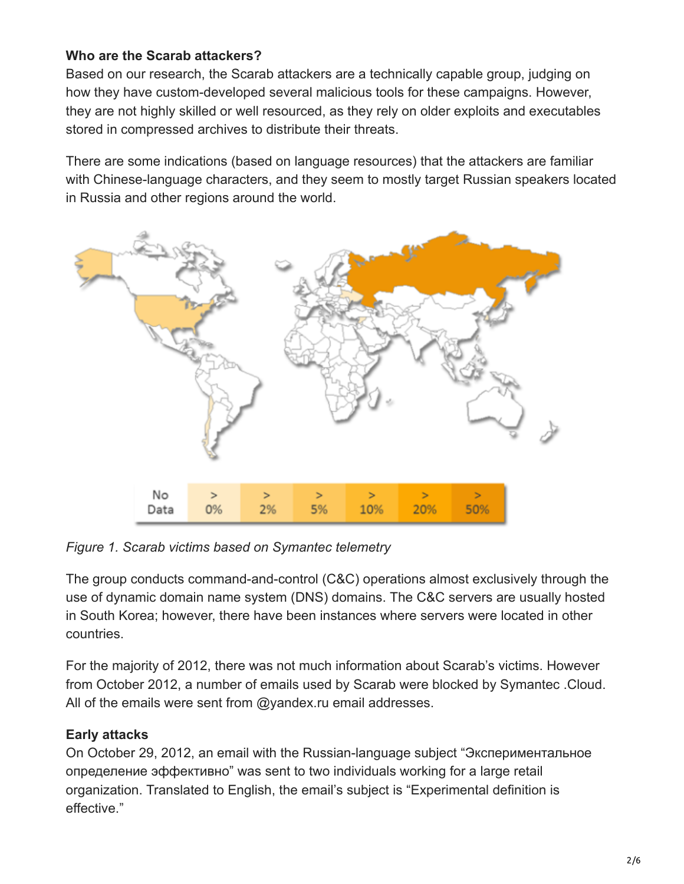## **Who are the Scarab attackers?**

Based on our research, the Scarab attackers are a technically capable group, judging on how they have custom-developed several malicious tools for these campaigns. However, they are not highly skilled or well resourced, as they rely on older exploits and executables stored in compressed archives to distribute their threats.

There are some indications (based on language resources) that the attackers are familiar with Chinese-language characters, and they seem to mostly target Russian speakers located in Russia and other regions around the world.



*Figure 1. Scarab victims based on Symantec telemetry*

The group conducts command-and-control (C&C) operations almost exclusively through the use of dynamic domain name system (DNS) domains. The C&C servers are usually hosted in South Korea; however, there have been instances where servers were located in other countries.

For the majority of 2012, there was not much information about Scarab's victims. However from October 2012, a number of emails used by Scarab were blocked by Symantec .Cloud. All of the emails were sent from @yandex.ru email addresses.

## **Early attacks**

On October 29, 2012, an email with the Russian-language subject "Экспериментальное определение эффективно" was sent to two individuals working for a large retail organization. Translated to English, the email's subject is "Experimental definition is effective."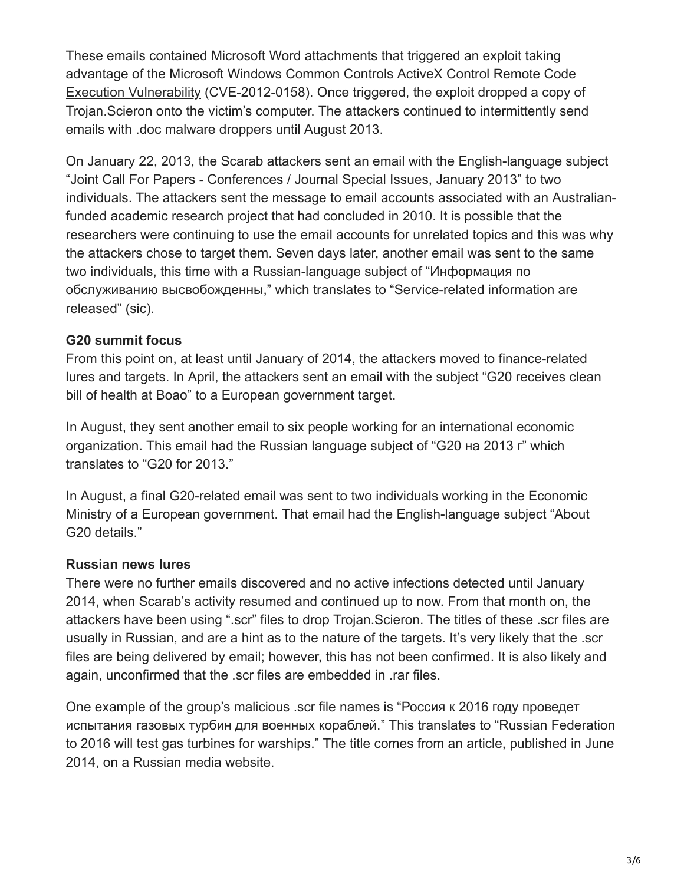These emails contained Microsoft Word attachments that triggered an exploit taking [advantage of the Microsoft Windows Common Controls ActiveX Control Remote Code](https://web.archive.org/web/20150124025612/http://www.securityfocus.com/bid/52911) Execution Vulnerability (CVE-2012-0158). Once triggered, the exploit dropped a copy of Trojan.Scieron onto the victim's computer. The attackers continued to intermittently send emails with .doc malware droppers until August 2013.

On January 22, 2013, the Scarab attackers sent an email with the English-language subject "Joint Call For Papers - Conferences / Journal Special Issues, January 2013" to two individuals. The attackers sent the message to email accounts associated with an Australianfunded academic research project that had concluded in 2010. It is possible that the researchers were continuing to use the email accounts for unrelated topics and this was why the attackers chose to target them. Seven days later, another email was sent to the same two individuals, this time with a Russian-language subject of "Информация по обслуживанию высвобожденны," which translates to "Service-related information are released" (sic).

#### **G20 summit focus**

From this point on, at least until January of 2014, the attackers moved to finance-related lures and targets. In April, the attackers sent an email with the subject "G20 receives clean bill of health at Boao" to a European government target.

In August, they sent another email to six people working for an international economic organization. This email had the Russian language subject of "G20 на 2013 г" which translates to "G20 for 2013."

In August, a final G20-related email was sent to two individuals working in the Economic Ministry of a European government. That email had the English-language subject "About G20 details."

### **Russian news lures**

There were no further emails discovered and no active infections detected until January 2014, when Scarab's activity resumed and continued up to now. From that month on, the attackers have been using ".scr" files to drop Trojan.Scieron. The titles of these .scr files are usually in Russian, and are a hint as to the nature of the targets. It's very likely that the .scr files are being delivered by email; however, this has not been confirmed. It is also likely and again, unconfirmed that the .scr files are embedded in .rar files.

One example of the group's malicious .scr file names is "Россия к 2016 году проведет испытания газовых турбин для военных кораблей." This translates to "Russian Federation to 2016 will test gas turbines for warships." The title comes from an article, published in June 2014, on a Russian media website.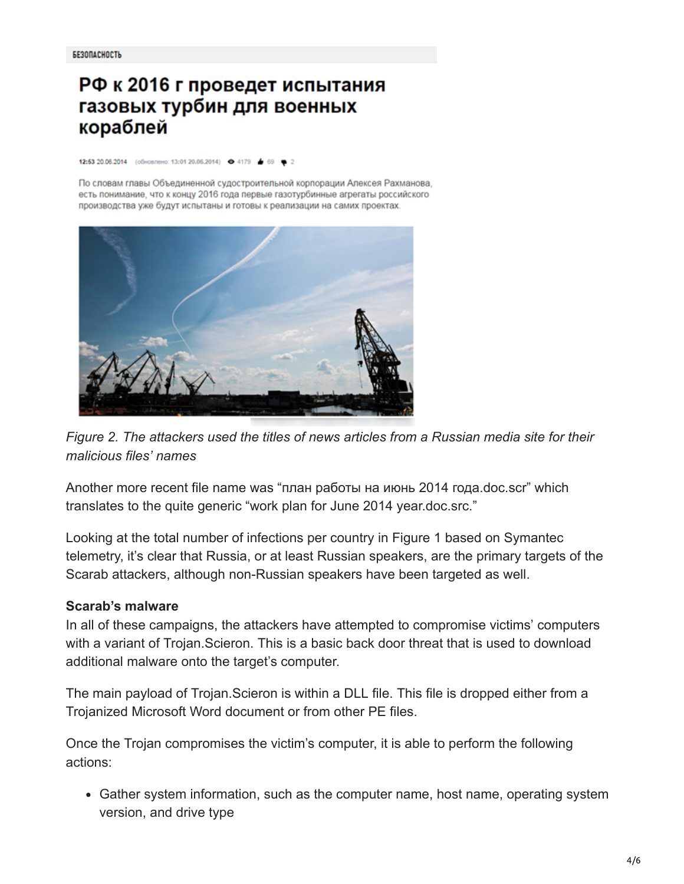# РФ к 2016 г проведет испытания газовых турбин для военных кораблей

12:53 20.06.2014 (обновлено: 13:01 20.06.2014) @ 4179 69

По словам главы Объединенной судостроительной корпорации Алексея Рахманова, есть понимание, что к концу 2016 года первые газотурбинные агрегаты российского производства уже будут испытаны и готовы к реализации на самих проектах.



*Figure 2. The attackers used the titles of news articles from a Russian media site for their malicious files' names*

Another more recent file name was "план работы на июнь 2014 года.doc.scr" which translates to the quite generic "work plan for June 2014 year.doc.src."

Looking at the total number of infections per country in Figure 1 based on Symantec telemetry, it's clear that Russia, or at least Russian speakers, are the primary targets of the Scarab attackers, although non-Russian speakers have been targeted as well.

#### **Scarab's malware**

In all of these campaigns, the attackers have attempted to compromise victims' computers with a variant of Trojan.Scieron. This is a basic back door threat that is used to download additional malware onto the target's computer.

The main payload of Trojan.Scieron is within a DLL file. This file is dropped either from a Trojanized Microsoft Word document or from other PE files.

Once the Trojan compromises the victim's computer, it is able to perform the following actions:

Gather system information, such as the computer name, host name, operating system version, and drive type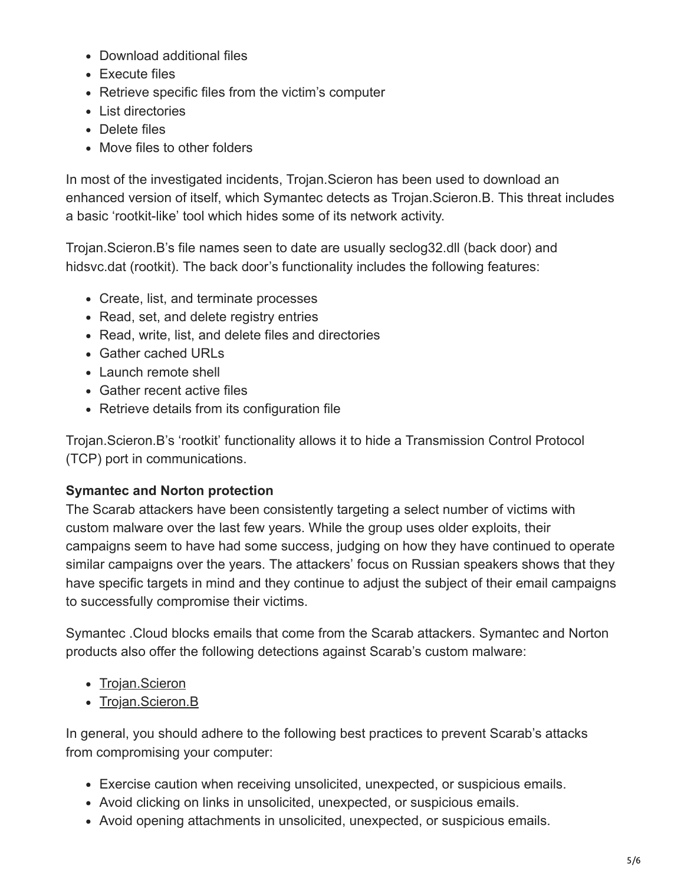- Download additional files
- Execute files
- Retrieve specific files from the victim's computer
- List directories
- Delete files
- Move files to other folders

In most of the investigated incidents, Trojan.Scieron has been used to download an enhanced version of itself, which Symantec detects as Trojan.Scieron.B. This threat includes a basic 'rootkit-like' tool which hides some of its network activity.

Trojan.Scieron.B's file names seen to date are usually seclog32.dll (back door) and hidsvc.dat (rootkit). The back door's functionality includes the following features:

- Create, list, and terminate processes
- Read, set, and delete registry entries
- Read, write, list, and delete files and directories
- Gather cached URLs
- Launch remote shell
- Gather recent active files
- Retrieve details from its configuration file

Trojan.Scieron.B's 'rootkit' functionality allows it to hide a Transmission Control Protocol (TCP) port in communications.

### **Symantec and Norton protection**

The Scarab attackers have been consistently targeting a select number of victims with custom malware over the last few years. While the group uses older exploits, their campaigns seem to have had some success, judging on how they have continued to operate similar campaigns over the years. The attackers' focus on Russian speakers shows that they have specific targets in mind and they continue to adjust the subject of their email campaigns to successfully compromise their victims.

Symantec .Cloud blocks emails that come from the Scarab attackers. Symantec and Norton products also offer the following detections against Scarab's custom malware:

- [Trojan.Scieron](https://web.archive.org/web/20150124025612/http://www.symantec.com/security_response/writeup.jsp?docid=2014-072320-5920-99)
- [Trojan.Scieron.B](https://web.archive.org/web/20150124025612/http://www.symantec.com/security_response/writeup.jsp?docid=2014-081114-0917-99)

In general, you should adhere to the following best practices to prevent Scarab's attacks from compromising your computer:

- Exercise caution when receiving unsolicited, unexpected, or suspicious emails.
- Avoid clicking on links in unsolicited, unexpected, or suspicious emails.
- Avoid opening attachments in unsolicited, unexpected, or suspicious emails.